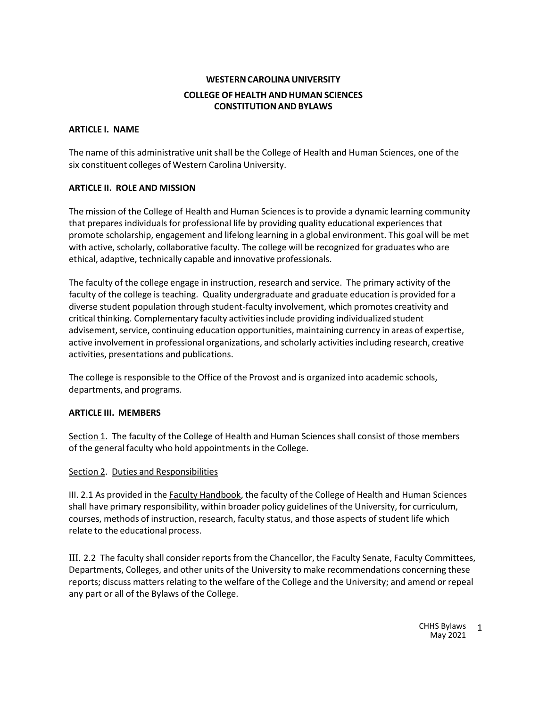# **WESTERNCAROLINAUNIVERSITY COLLEGE OF HEALTH AND HUMAN SCIENCES CONSTITUTIONANDBYLAWS**

## **ARTICLE I. NAME**

The name of this administrative unit shall be the College of Health and Human Sciences, one of the six constituent colleges of Western Carolina University.

## **ARTICLE II. ROLE AND MISSION**

The mission of the College of Health and Human Sciences is to provide a dynamic learning community that prepares individuals for professional life by providing quality educational experiencesthat promote scholarship, engagement and lifelong learning in a global environment. This goal will be met with active, scholarly, collaborative faculty. The college will be recognized for graduates who are ethical, adaptive, technically capable and innovative professionals.

The faculty of the college engage in instruction, research and service. The primary activity of the faculty of the college is teaching. Quality undergraduate and graduate education is provided for a diverse student population through student-faculty involvement, which promotes creativity and critical thinking. Complementary faculty activitiesinclude providing individualized student advisement, service, continuing education opportunities, maintaining currency in areas of expertise, active involvement in professional organizations, and scholarly activities including research, creative activities, presentations and publications.

The college is responsible to the Office of the Provost and is organized into academic schools, departments, and programs.

#### **ARTICLE III. MEMBERS**

Section 1. The faculty of the College of Health and Human Sciences shall consist of those members of the general faculty who hold appointments in the College.

#### Section 2. Duties and Responsibilities

III. 2.1 As provided in the **Faculty Handbook**, the faculty of the College of Health and Human Sciences shall have primary responsibility, within broader policy guidelines of the University, for curriculum, courses, methods of instruction, research, faculty status, and those aspects of student life which relate to the educational process.

III. 2.2 The faculty shall consider reports from the Chancellor, the Faculty Senate, Faculty Committees, Departments, Colleges, and other units of the University to make recommendations concerning these reports; discuss matters relating to the welfare of the College and the University; and amend or repeal any part or all of the Bylaws of the College.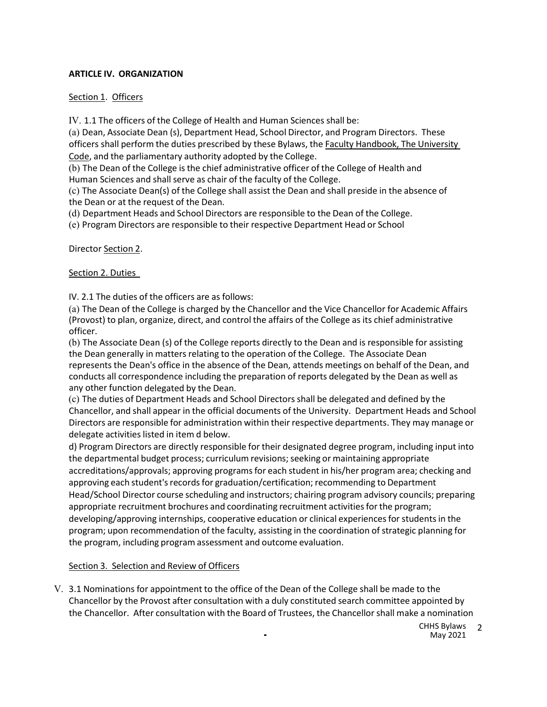## **ARTICLE IV. ORGANIZATION**

## Section 1. Officers

IV. 1.1 The officers of the College of Health and Human Sciences shall be:

(a) Dean, Associate Dean (s), Department Head, School Director, and Program Directors. These officers shall perform the duties prescribed by these Bylaws, the Faculty Handbook, The University Code, and the parliamentary authority adopted by the College.

(b) The Dean of the College is the chief administrative officer of the College of Health and Human Sciences and shall serve as chair of the faculty of the College.

(c) The Associate Dean(s) of the College shall assist the Dean and shall preside in the absence of the Dean or at the request of the Dean.

(d) Department Heads and School Directors are responsible to the Dean of the College.

(e) Program Directors are responsible to their respective Department Head or School

Director Section 2.

Section 2. Duties

IV. 2.1 The duties of the officers are as follows:

(a) The Dean of the College is charged by the Chancellor and the Vice Chancellor for Academic Affairs (Provost) to plan, organize, direct, and control the affairs of the College as its chief administrative officer.

(b) The Associate Dean (s) of the College reports directly to the Dean and is responsible for assisting the Dean generally in matters relating to the operation of the College. The Associate Dean represents the Dean's office in the absence of the Dean, attends meetings on behalf of the Dean, and conducts all correspondence including the preparation of reports delegated by the Dean as well as any other function delegated by the Dean.

(c) The duties of Department Heads and School Directors shall be delegated and defined by the Chancellor, and shall appear in the official documents of the University. Department Heads and School Directors are responsible for administration within their respective departments. They may manage or delegate activities listed in item d below.

d) Program Directors are directly responsible for their designated degree program, including input into the departmental budget process; curriculum revisions; seeking or maintaining appropriate accreditations/approvals; approving programs for each student in his/her program area; checking and approving each student's records for graduation/certification; recommending to Department Head/School Director course scheduling and instructors; chairing program advisory councils; preparing appropriate recruitment brochures and coordinating recruitment activities for the program; developing/approving internships, cooperative education or clinical experiences for students in the program; upon recommendation of the faculty, assisting in the coordination of strategic planning for the program, including program assessment and outcome evaluation.

## Section 3. Selection and Review of Officers

V. 3.1 Nominations for appointment to the office of the Dean of the College shall be made to the Chancellor by the Provost after consultation with a duly constituted search committee appointed by the Chancellor. After consultation with the Board of Trustees, the Chancellor shall make a nomination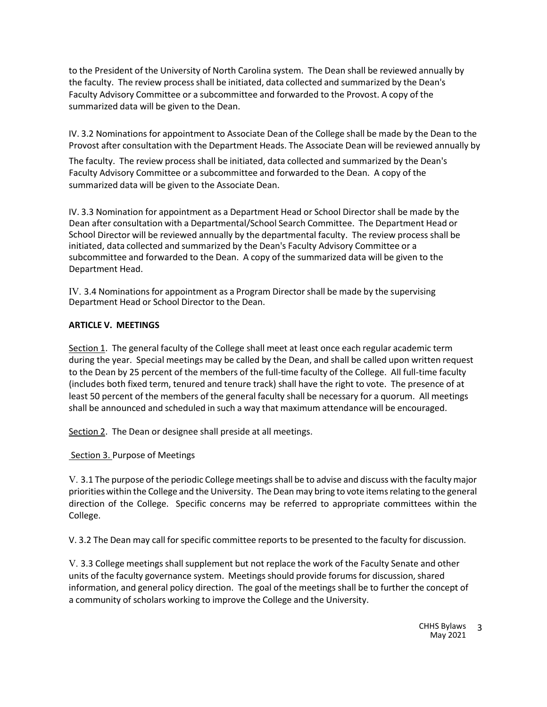to the President of the University of North Carolina system. The Dean shall be reviewed annually by the faculty. The review process shall be initiated, data collected and summarized by the Dean's Faculty Advisory Committee or a subcommittee and forwarded to the Provost. A copy of the summarized data will be given to the Dean.

IV. 3.2 Nominations for appointment to Associate Dean of the College shall be made by the Dean to the Provost after consultation with the Department Heads. The Associate Dean will be reviewed annually by

The faculty. The review process shall be initiated, data collected and summarized by the Dean's Faculty Advisory Committee or a subcommittee and forwarded to the Dean. A copy of the summarized data will be given to the Associate Dean.

IV. 3.3 Nomination for appointment as a Department Head or School Director shall be made by the Dean after consultation with a Departmental/School Search Committee. The Department Head or School Director will be reviewed annually by the departmental faculty. The review process shall be initiated, data collected and summarized by the Dean's Faculty Advisory Committee or a subcommittee and forwarded to the Dean. A copy of the summarized data will be given to the Department Head.

IV. 3.4 Nominations for appointment as a Program Director shall be made by the supervising Department Head or School Director to the Dean.

## **ARTICLE V. MEETINGS**

Section 1. The general faculty of the College shall meet at least once each regular academic term during the year. Special meetings may be called by the Dean, and shall be called upon written request to the Dean by 25 percent of the members of the full-time faculty of the College. All full-time faculty (includes both fixed term, tenured and tenure track) shall have the right to vote. The presence of at least 50 percent of the members of the general faculty shall be necessary for a quorum. All meetings shall be announced and scheduled in such a way that maximum attendance will be encouraged.

Section 2. The Dean or designee shall preside at all meetings.

Section 3. Purpose of Meetings

V. 3.1 The purpose of the periodic College meetings shall be to advise and discuss with the faculty major priorities within the College and the University. The Dean may bring to vote itemsrelating to the general direction of the College. Specific concerns may be referred to appropriate committees within the College.

V. 3.2 The Dean may call for specific committee reports to be presented to the faculty for discussion.

V. 3.3 College meetings shall supplement but not replace the work of the Faculty Senate and other units of the faculty governance system. Meetings should provide forums for discussion, shared information, and general policy direction. The goal of the meetings shall be to further the concept of a community of scholars working to improve the College and the University.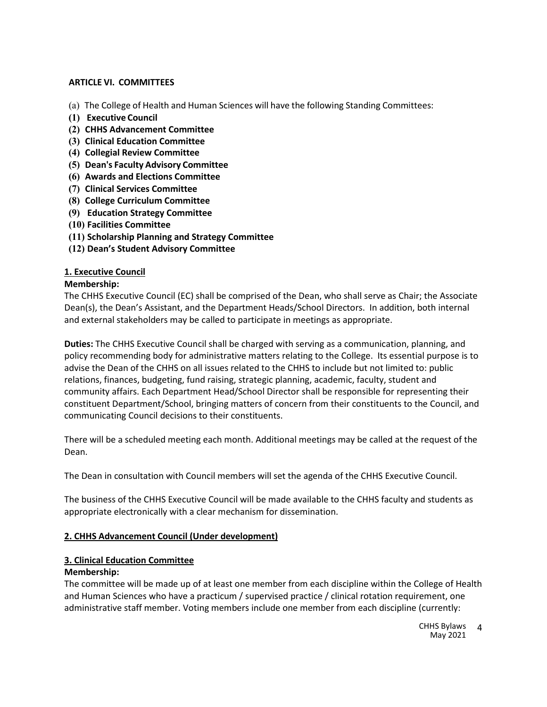## **ARTICLE VI. COMMITTEES**

- (a) The College of Health and Human Sciences will have the following Standing Committees:
- **(1) Executive Council**
- **(2) CHHS Advancement Committee**
- **(3) Clinical Education Committee**
- **(4) Collegial Review Committee**
- **(5) Dean's Faculty Advisory Committee**
- **(6) Awards and Elections Committee**
- **(7) Clinical Services Committee**
- **(8) College Curriculum Committee**
- **(9) Education Strategy Committee**
- **(10) Facilities Committee**
- **(11) Scholarship Planning and Strategy Committee**
- **(12) Dean's Student Advisory Committee**

## **1. Executive Council**

## **Membership:**

The CHHS Executive Council (EC) shall be comprised of the Dean, who shall serve as Chair; the Associate Dean(s), the Dean's Assistant, and the Department Heads/School Directors. In addition, both internal and external stakeholders may be called to participate in meetings as appropriate.

**Duties:** The CHHS Executive Council shall be charged with serving as a communication, planning, and policy recommending body for administrative matters relating to the College. Its essential purpose is to advise the Dean of the CHHS on all issues related to the CHHS to include but not limited to: public relations, finances, budgeting, fund raising, strategic planning, academic, faculty, student and community affairs. Each Department Head/School Director shall be responsible for representing their constituent Department/School, bringing matters of concern from their constituents to the Council, and communicating Council decisions to their constituents.

There will be a scheduled meeting each month. Additional meetings may be called at the request of the Dean.

The Dean in consultation with Council members will set the agenda of the CHHS Executive Council.

The business of the CHHS Executive Council will be made available to the CHHS faculty and students as appropriate electronically with a clear mechanism for dissemination.

# **2. CHHS Advancement Council (Under development)**

# **3. Clinical Education Committee**

## **Membership:**

The committee will be made up of at least one member from each discipline within the College of Health and Human Sciences who have a practicum / supervised practice / clinical rotation requirement, one administrative staff member. Voting members include one member from each discipline (currently: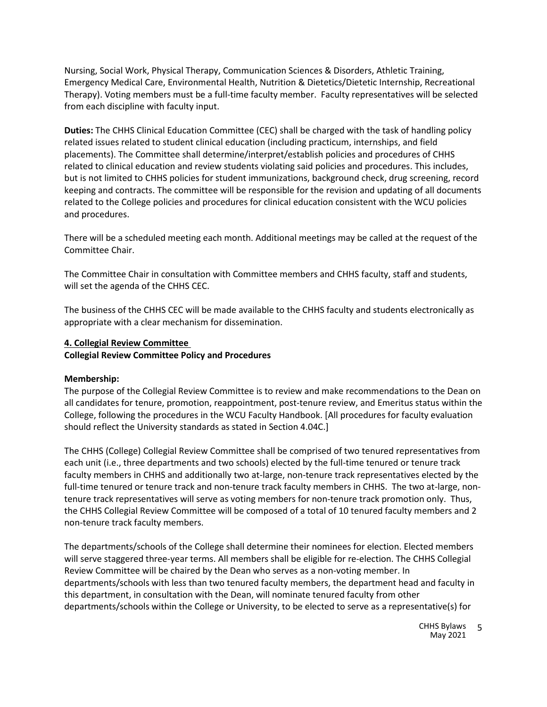Nursing, Social Work, Physical Therapy, Communication Sciences & Disorders, Athletic Training, Emergency Medical Care, Environmental Health, Nutrition & Dietetics/Dietetic Internship, Recreational Therapy). Voting members must be a full-time faculty member. Faculty representatives will be selected from each discipline with faculty input.

**Duties:** The CHHS Clinical Education Committee (CEC) shall be charged with the task of handling policy related issues related to student clinical education (including practicum, internships, and field placements). The Committee shall determine/interpret/establish policies and procedures of CHHS related to clinical education and review students violating said policies and procedures. This includes, but is not limited to CHHS policies for student immunizations, background check, drug screening, record keeping and contracts. The committee will be responsible for the revision and updating of all documents related to the College policies and procedures for clinical education consistent with the WCU policies and procedures.

There will be a scheduled meeting each month. Additional meetings may be called at the request of the Committee Chair.

The Committee Chair in consultation with Committee members and CHHS faculty, staff and students, will set the agenda of the CHHS CEC.

The business of the CHHS CEC will be made available to the CHHS faculty and students electronically as appropriate with a clear mechanism for dissemination.

#### **4. Collegial Review Committee**

**Collegial Review Committee Policy and Procedures**

#### **Membership:**

The purpose of the Collegial Review Committee is to review and make recommendations to the Dean on all candidates for tenure, promotion, reappointment, post-tenure review, and Emeritus status within the College, following the procedures in the WCU Faculty Handbook. [All procedures for faculty evaluation should reflect the University standards as stated in Section 4.04C.]

The CHHS (College) Collegial Review Committee shall be comprised of two tenured representatives from each unit (i.e., three departments and two schools) elected by the full-time tenured or tenure track faculty members in CHHS and additionally two at-large, non-tenure track representatives elected by the full-time tenured or tenure track and non-tenure track faculty members in CHHS. The two at-large, nontenure track representatives will serve as voting members for non-tenure track promotion only. Thus, the CHHS Collegial Review Committee will be composed of a total of 10 tenured faculty members and 2 non-tenure track faculty members.

The departments/schools of the College shall determine their nominees for election. Elected members will serve staggered three-year terms. All members shall be eligible for re-election. The CHHS Collegial Review Committee will be chaired by the Dean who serves as a non-voting member. In departments/schools with less than two tenured faculty members, the department head and faculty in this department, in consultation with the Dean, will nominate tenured faculty from other departments/schools within the College or University, to be elected to serve as a representative(s) for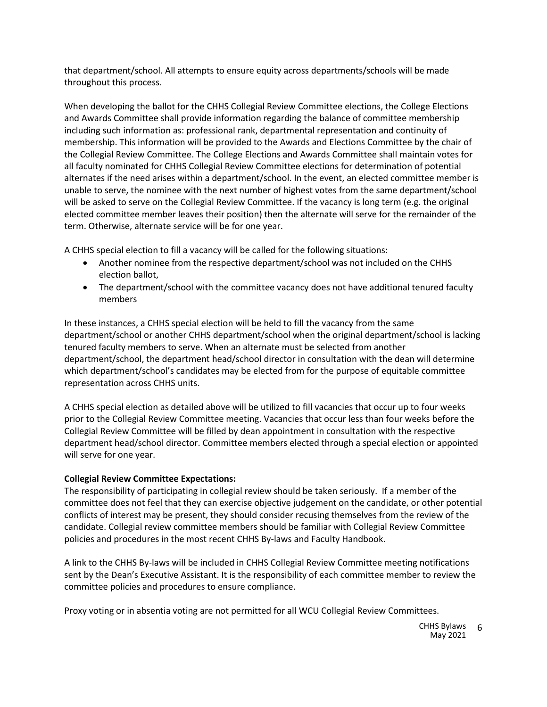that department/school. All attempts to ensure equity across departments/schools will be made throughout this process.

When developing the ballot for the CHHS Collegial Review Committee elections, the College Elections and Awards Committee shall provide information regarding the balance of committee membership including such information as: professional rank, departmental representation and continuity of membership. This information will be provided to the Awards and Elections Committee by the chair of the Collegial Review Committee. The College Elections and Awards Committee shall maintain votes for all faculty nominated for CHHS Collegial Review Committee elections for determination of potential alternates if the need arises within a department/school. In the event, an elected committee member is unable to serve, the nominee with the next number of highest votes from the same department/school will be asked to serve on the Collegial Review Committee. If the vacancy is long term (e.g. the original elected committee member leaves their position) then the alternate will serve for the remainder of the term. Otherwise, alternate service will be for one year.

A CHHS special election to fill a vacancy will be called for the following situations:

- Another nominee from the respective department/school was not included on the CHHS election ballot,
- The department/school with the committee vacancy does not have additional tenured faculty members

In these instances, a CHHS special election will be held to fill the vacancy from the same department/school or another CHHS department/school when the original department/school is lacking tenured faculty members to serve. When an alternate must be selected from another department/school, the department head/school director in consultation with the dean will determine which department/school's candidates may be elected from for the purpose of equitable committee representation across CHHS units.

A CHHS special election as detailed above will be utilized to fill vacancies that occur up to four weeks prior to the Collegial Review Committee meeting. Vacancies that occur less than four weeks before the Collegial Review Committee will be filled by dean appointment in consultation with the respective department head/school director. Committee members elected through a special election or appointed will serve for one year.

# **Collegial Review Committee Expectations:**

The responsibility of participating in collegial review should be taken seriously. If a member of the committee does not feel that they can exercise objective judgement on the candidate, or other potential conflicts of interest may be present, they should consider recusing themselves from the review of the candidate. Collegial review committee members should be familiar with Collegial Review Committee policies and procedures in the most recent CHHS By-laws and Faculty Handbook.

A link to the CHHS By-laws will be included in CHHS Collegial Review Committee meeting notifications sent by the Dean's Executive Assistant. It is the responsibility of each committee member to review the committee policies and procedures to ensure compliance.

Proxy voting or in absentia voting are not permitted for all WCU Collegial Review Committees.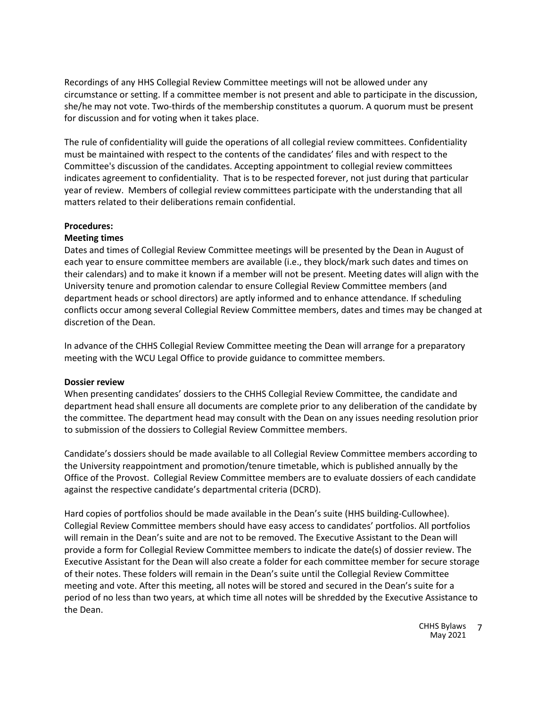Recordings of any HHS Collegial Review Committee meetings will not be allowed under any circumstance or setting. If a committee member is not present and able to participate in the discussion, she/he may not vote. Two-thirds of the membership constitutes a quorum. A quorum must be present for discussion and for voting when it takes place.

The rule of confidentiality will guide the operations of all collegial review committees. Confidentiality must be maintained with respect to the contents of the candidates' files and with respect to the Committee's discussion of the candidates. Accepting appointment to collegial review committees indicates agreement to confidentiality. That is to be respected forever, not just during that particular year of review. Members of collegial review committees participate with the understanding that all matters related to their deliberations remain confidential.

#### **Procedures:**

#### **Meeting times**

Dates and times of Collegial Review Committee meetings will be presented by the Dean in August of each year to ensure committee members are available (i.e., they block/mark such dates and times on their calendars) and to make it known if a member will not be present. Meeting dates will align with the University tenure and promotion calendar to ensure Collegial Review Committee members (and department heads or school directors) are aptly informed and to enhance attendance. If scheduling conflicts occur among several Collegial Review Committee members, dates and times may be changed at discretion of the Dean.

In advance of the CHHS Collegial Review Committee meeting the Dean will arrange for a preparatory meeting with the WCU Legal Office to provide guidance to committee members.

#### **Dossier review**

When presenting candidates' dossiers to the CHHS Collegial Review Committee, the candidate and department head shall ensure all documents are complete prior to any deliberation of the candidate by the committee. The department head may consult with the Dean on any issues needing resolution prior to submission of the dossiers to Collegial Review Committee members.

Candidate's dossiers should be made available to all Collegial Review Committee members according to the University reappointment and promotion/tenure timetable, which is published annually by the Office of the Provost. Collegial Review Committee members are to evaluate dossiers of each candidate against the respective candidate's departmental criteria (DCRD).

Hard copies of portfolios should be made available in the Dean's suite (HHS building-Cullowhee). Collegial Review Committee members should have easy access to candidates' portfolios. All portfolios will remain in the Dean's suite and are not to be removed. The Executive Assistant to the Dean will provide a form for Collegial Review Committee members to indicate the date(s) of dossier review. The Executive Assistant for the Dean will also create a folder for each committee member for secure storage of their notes. These folders will remain in the Dean's suite until the Collegial Review Committee meeting and vote. After this meeting, all notes will be stored and secured in the Dean's suite for a period of no less than two years, at which time all notes will be shredded by the Executive Assistance to the Dean.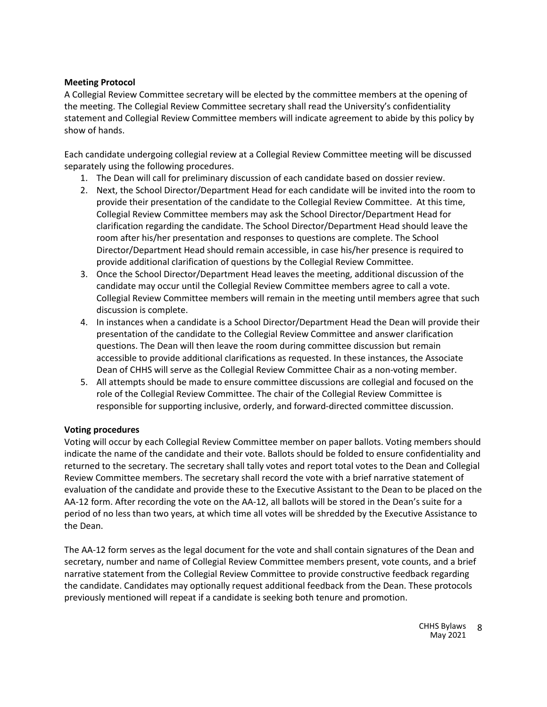## **Meeting Protocol**

A Collegial Review Committee secretary will be elected by the committee members at the opening of the meeting. The Collegial Review Committee secretary shall read the University's confidentiality statement and Collegial Review Committee members will indicate agreement to abide by this policy by show of hands.

Each candidate undergoing collegial review at a Collegial Review Committee meeting will be discussed separately using the following procedures.

- 1. The Dean will call for preliminary discussion of each candidate based on dossier review.
- 2. Next, the School Director/Department Head for each candidate will be invited into the room to provide their presentation of the candidate to the Collegial Review Committee. At this time, Collegial Review Committee members may ask the School Director/Department Head for clarification regarding the candidate. The School Director/Department Head should leave the room after his/her presentation and responses to questions are complete. The School Director/Department Head should remain accessible, in case his/her presence is required to provide additional clarification of questions by the Collegial Review Committee.
- 3. Once the School Director/Department Head leaves the meeting, additional discussion of the candidate may occur until the Collegial Review Committee members agree to call a vote. Collegial Review Committee members will remain in the meeting until members agree that such discussion is complete.
- 4. In instances when a candidate is a School Director/Department Head the Dean will provide their presentation of the candidate to the Collegial Review Committee and answer clarification questions. The Dean will then leave the room during committee discussion but remain accessible to provide additional clarifications as requested. In these instances, the Associate Dean of CHHS will serve as the Collegial Review Committee Chair as a non-voting member.
- 5. All attempts should be made to ensure committee discussions are collegial and focused on the role of the Collegial Review Committee. The chair of the Collegial Review Committee is responsible for supporting inclusive, orderly, and forward-directed committee discussion.

## **Voting procedures**

Voting will occur by each Collegial Review Committee member on paper ballots. Voting members should indicate the name of the candidate and their vote. Ballots should be folded to ensure confidentiality and returned to the secretary. The secretary shall tally votes and report total votes to the Dean and Collegial Review Committee members. The secretary shall record the vote with a brief narrative statement of evaluation of the candidate and provide these to the Executive Assistant to the Dean to be placed on the AA-12 form. After recording the vote on the AA-12, all ballots will be stored in the Dean's suite for a period of no less than two years, at which time all votes will be shredded by the Executive Assistance to the Dean.

The AA-12 form serves as the legal document for the vote and shall contain signatures of the Dean and secretary, number and name of Collegial Review Committee members present, vote counts, and a brief narrative statement from the Collegial Review Committee to provide constructive feedback regarding the candidate. Candidates may optionally request additional feedback from the Dean. These protocols previously mentioned will repeat if a candidate is seeking both tenure and promotion.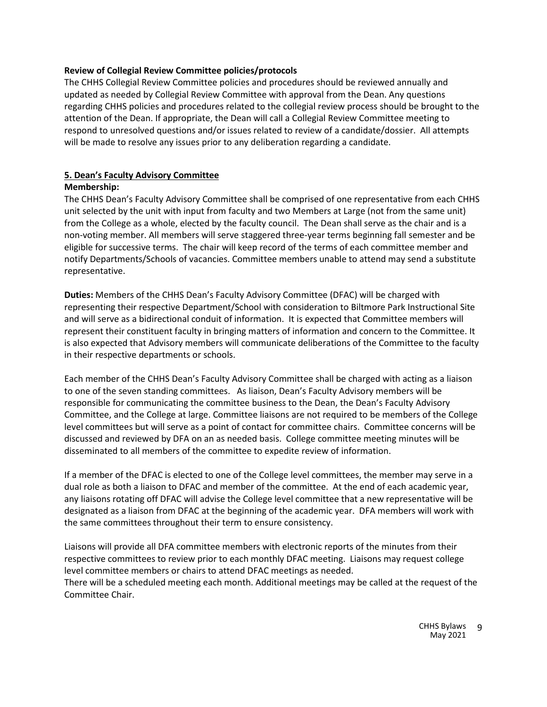## **Review of Collegial Review Committee policies/protocols**

The CHHS Collegial Review Committee policies and procedures should be reviewed annually and updated as needed by Collegial Review Committee with approval from the Dean. Any questions regarding CHHS policies and procedures related to the collegial review process should be brought to the attention of the Dean. If appropriate, the Dean will call a Collegial Review Committee meeting to respond to unresolved questions and/or issues related to review of a candidate/dossier. All attempts will be made to resolve any issues prior to any deliberation regarding a candidate.

# **5. Dean's Faculty Advisory Committee**

## **Membership:**

The CHHS Dean's Faculty Advisory Committee shall be comprised of one representative from each CHHS unit selected by the unit with input from faculty and two Members at Large (not from the same unit) from the College as a whole, elected by the faculty council. The Dean shall serve as the chair and is a non-voting member. All members will serve staggered three-year terms beginning fall semester and be eligible for successive terms. The chair will keep record of the terms of each committee member and notify Departments/Schools of vacancies. Committee members unable to attend may send a substitute representative.

**Duties:** Members of the CHHS Dean's Faculty Advisory Committee (DFAC) will be charged with representing their respective Department/School with consideration to Biltmore Park Instructional Site and will serve as a bidirectional conduit of information. It is expected that Committee members will represent their constituent faculty in bringing matters of information and concern to the Committee. It is also expected that Advisory members will communicate deliberations of the Committee to the faculty in their respective departments or schools.

Each member of the CHHS Dean's Faculty Advisory Committee shall be charged with acting as a liaison to one of the seven standing committees. As liaison, Dean's Faculty Advisory members will be responsible for communicating the committee business to the Dean, the Dean's Faculty Advisory Committee, and the College at large. Committee liaisons are not required to be members of the College level committees but will serve as a point of contact for committee chairs. Committee concerns will be discussed and reviewed by DFA on an as needed basis. College committee meeting minutes will be disseminated to all members of the committee to expedite review of information.

If a member of the DFAC is elected to one of the College level committees, the member may serve in a dual role as both a liaison to DFAC and member of the committee. At the end of each academic year, any liaisons rotating off DFAC will advise the College level committee that a new representative will be designated as a liaison from DFAC at the beginning of the academic year. DFA members will work with the same committees throughout their term to ensure consistency.

Liaisons will provide all DFA committee members with electronic reports of the minutes from their respective committees to review prior to each monthly DFAC meeting. Liaisons may request college level committee members or chairs to attend DFAC meetings as needed. There will be a scheduled meeting each month. Additional meetings may be called at the request of the Committee Chair.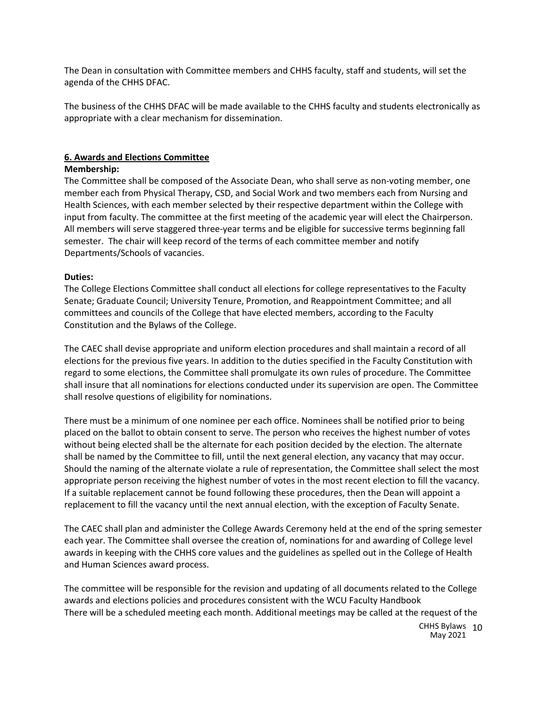The Dean in consultation with Committee members and CHHS faculty, staff and students, will set the agenda of the CHHS DFAC.

The business of the CHHS DFAC will be made available to the CHHS faculty and students electronically as appropriate with a clear mechanism for dissemination.

## **6. Awards and Elections Committee**

#### **Membership:**

The Committee shall be composed of the Associate Dean, who shall serve as non-voting member, one member each from Physical Therapy, CSD, and Social Work and two members each from Nursing and Health Sciences, with each member selected by their respective department within the College with input from faculty. The committee at the first meeting of the academic year will elect the Chairperson. All members will serve staggered three-year terms and be eligible for successive terms beginning fall semester. The chair will keep record of the terms of each committee member and notify Departments/Schools of vacancies.

#### **Duties:**

The College Elections Committee shall conduct all elections for college representatives to the Faculty Senate; Graduate Council; University Tenure, Promotion, and Reappointment Committee; and all committees and councils of the College that have elected members, according to the Faculty Constitution and the Bylaws of the College.

The CAEC shall devise appropriate and uniform election procedures and shall maintain a record of all elections for the previous five years. In addition to the duties specified in the Faculty Constitution with regard to some elections, the Committee shall promulgate its own rules of procedure. The Committee shall insure that all nominations for elections conducted under its supervision are open. The Committee shall resolve questions of eligibility for nominations.

There must be a minimum of one nominee per each office. Nominees shall be notified prior to being placed on the ballot to obtain consent to serve. The person who receives the highest number of votes without being elected shall be the alternate for each position decided by the election. The alternate shall be named by the Committee to fill, until the next general election, any vacancy that may occur. Should the naming of the alternate violate a rule of representation, the Committee shall select the most appropriate person receiving the highest number of votes in the most recent election to fill the vacancy. If a suitable replacement cannot be found following these procedures, then the Dean will appoint a replacement to fill the vacancy until the next annual election, with the exception of Faculty Senate.

The CAEC shall plan and administer the College Awards Ceremony held at the end of the spring semester each year. The Committee shall oversee the creation of, nominations for and awarding of College level awards in keeping with the CHHS core values and the guidelines as spelled out in the College of Health and Human Sciences award process.

The committee will be responsible for the revision and updating of all documents related to the College awards and elections policies and procedures consistent with the WCU Faculty Handbook There will be a scheduled meeting each month. Additional meetings may be called at the request of the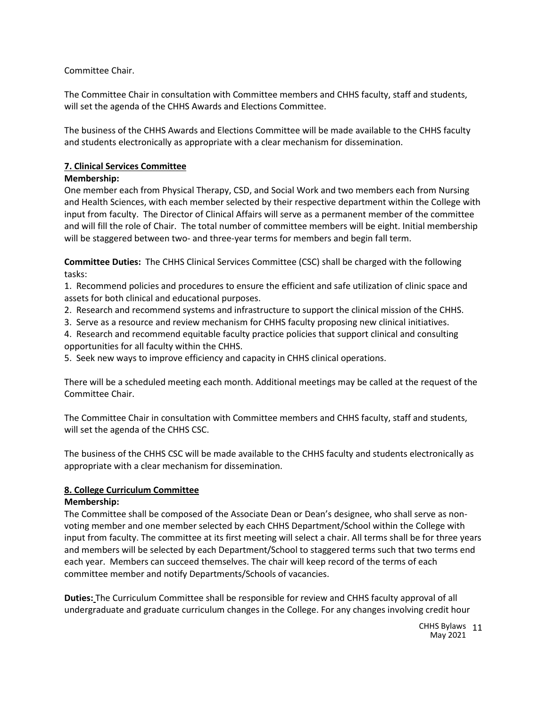Committee Chair.

The Committee Chair in consultation with Committee members and CHHS faculty, staff and students, will set the agenda of the CHHS Awards and Elections Committee.

The business of the CHHS Awards and Elections Committee will be made available to the CHHS faculty and students electronically as appropriate with a clear mechanism for dissemination.

# **7. Clinical Services Committee**

## **Membership:**

One member each from Physical Therapy, CSD, and Social Work and two members each from Nursing and Health Sciences, with each member selected by their respective department within the College with input from faculty. The Director of Clinical Affairs will serve as a permanent member of the committee and will fill the role of Chair. The total number of committee members will be eight. Initial membership will be staggered between two- and three-year terms for members and begin fall term.

**Committee Duties:** The CHHS Clinical Services Committee (CSC) shall be charged with the following tasks:

1. Recommend policies and procedures to ensure the efficient and safe utilization of clinic space and assets for both clinical and educational purposes.

- 2. Research and recommend systems and infrastructure to support the clinical mission of the CHHS.
- 3. Serve as a resource and review mechanism for CHHS faculty proposing new clinical initiatives.
- 4. Research and recommend equitable faculty practice policies that support clinical and consulting opportunities for all faculty within the CHHS.

5. Seek new ways to improve efficiency and capacity in CHHS clinical operations.

There will be a scheduled meeting each month. Additional meetings may be called at the request of the Committee Chair.

The Committee Chair in consultation with Committee members and CHHS faculty, staff and students, will set the agenda of the CHHS CSC.

The business of the CHHS CSC will be made available to the CHHS faculty and students electronically as appropriate with a clear mechanism for dissemination.

# **8. College Curriculum Committee**

# **Membership:**

The Committee shall be composed of the Associate Dean or Dean's designee, who shall serve as nonvoting member and one member selected by each CHHS Department/School within the College with input from faculty. The committee at its first meeting will select a chair. All terms shall be for three years and members will be selected by each Department/School to staggered terms such that two terms end each year. Members can succeed themselves. The chair will keep record of the terms of each committee member and notify Departments/Schools of vacancies.

**Duties:** The Curriculum Committee shall be responsible for review and CHHS faculty approval of all undergraduate and graduate curriculum changes in the College. For any changes involving credit hour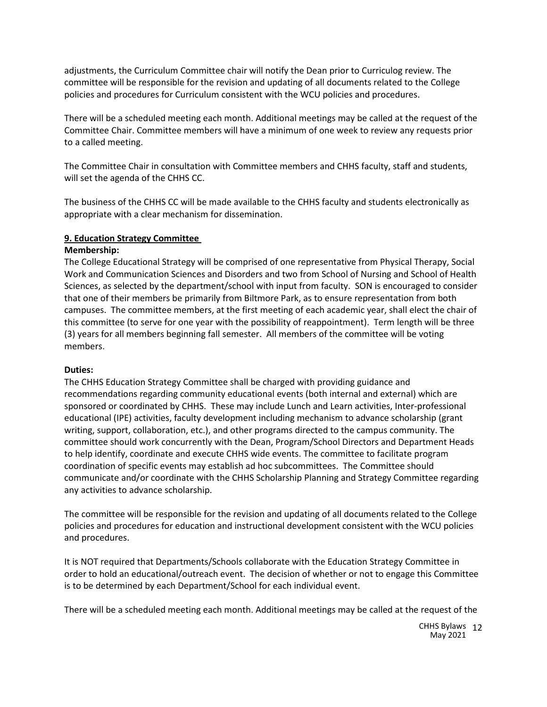adjustments, the Curriculum Committee chair will notify the Dean prior to Curriculog review. The committee will be responsible for the revision and updating of all documents related to the College policies and procedures for Curriculum consistent with the WCU policies and procedures.

There will be a scheduled meeting each month. Additional meetings may be called at the request of the Committee Chair. Committee members will have a minimum of one week to review any requests prior to a called meeting.

The Committee Chair in consultation with Committee members and CHHS faculty, staff and students, will set the agenda of the CHHS CC.

The business of the CHHS CC will be made available to the CHHS faculty and students electronically as appropriate with a clear mechanism for dissemination.

## **9. Education Strategy Committee**

## **Membership:**

The College Educational Strategy will be comprised of one representative from Physical Therapy, Social Work and Communication Sciences and Disorders and two from School of Nursing and School of Health Sciences, as selected by the department/school with input from faculty. SON is encouraged to consider that one of their members be primarily from Biltmore Park, as to ensure representation from both campuses. The committee members, at the first meeting of each academic year, shall elect the chair of this committee (to serve for one year with the possibility of reappointment). Term length will be three (3) years for all members beginning fall semester. All members of the committee will be voting members.

#### **Duties:**

The CHHS Education Strategy Committee shall be charged with providing guidance and recommendations regarding community educational events (both internal and external) which are sponsored or coordinated by CHHS. These may include Lunch and Learn activities, Inter-professional educational (IPE) activities, faculty development including mechanism to advance scholarship (grant writing, support, collaboration, etc.), and other programs directed to the campus community. The committee should work concurrently with the Dean, Program/School Directors and Department Heads to help identify, coordinate and execute CHHS wide events. The committee to facilitate program coordination of specific events may establish ad hoc subcommittees. The Committee should communicate and/or coordinate with the CHHS Scholarship Planning and Strategy Committee regarding any activities to advance scholarship.

The committee will be responsible for the revision and updating of all documents related to the College policies and procedures for education and instructional development consistent with the WCU policies and procedures.

It is NOT required that Departments/Schools collaborate with the Education Strategy Committee in order to hold an educational/outreach event. The decision of whether or not to engage this Committee is to be determined by each Department/School for each individual event.

There will be a scheduled meeting each month. Additional meetings may be called at the request of the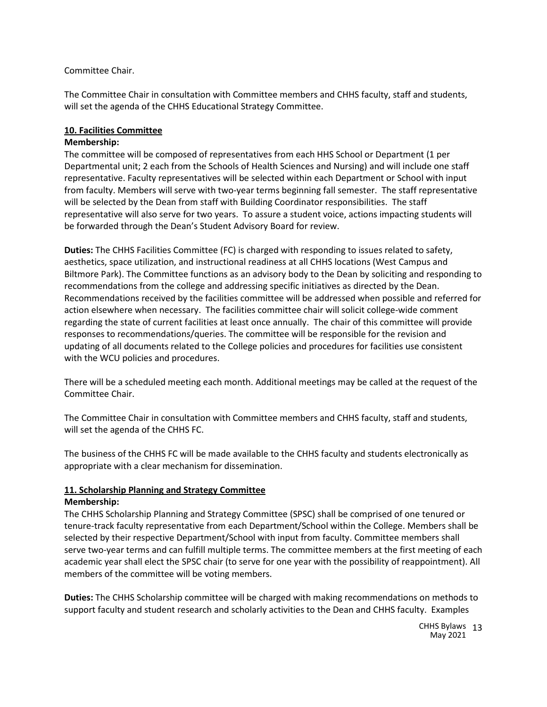## Committee Chair.

The Committee Chair in consultation with Committee members and CHHS faculty, staff and students, will set the agenda of the CHHS Educational Strategy Committee.

## **10. Facilities Committee**

## **Membership:**

The committee will be composed of representatives from each HHS School or Department (1 per Departmental unit; 2 each from the Schools of Health Sciences and Nursing) and will include one staff representative. Faculty representatives will be selected within each Department or School with input from faculty. Members will serve with two-year terms beginning fall semester. The staff representative will be selected by the Dean from staff with Building Coordinator responsibilities. The staff representative will also serve for two years. To assure a student voice, actions impacting students will be forwarded through the Dean's Student Advisory Board for review.

**Duties:** The CHHS Facilities Committee (FC) is charged with responding to issues related to safety, aesthetics, space utilization, and instructional readiness at all CHHS locations (West Campus and Biltmore Park). The Committee functions as an advisory body to the Dean by soliciting and responding to recommendations from the college and addressing specific initiatives as directed by the Dean. Recommendations received by the facilities committee will be addressed when possible and referred for action elsewhere when necessary. The facilities committee chair will solicit college-wide comment regarding the state of current facilities at least once annually. The chair of this committee will provide responses to recommendations/queries. The committee will be responsible for the revision and updating of all documents related to the College policies and procedures for facilities use consistent with the WCU policies and procedures.

There will be a scheduled meeting each month. Additional meetings may be called at the request of the Committee Chair.

The Committee Chair in consultation with Committee members and CHHS faculty, staff and students, will set the agenda of the CHHS FC.

The business of the CHHS FC will be made available to the CHHS faculty and students electronically as appropriate with a clear mechanism for dissemination.

## **11. Scholarship Planning and Strategy Committee Membership:**

The CHHS Scholarship Planning and Strategy Committee (SPSC) shall be comprised of one tenured or tenure-track faculty representative from each Department/School within the College. Members shall be selected by their respective Department/School with input from faculty. Committee members shall serve two-year terms and can fulfill multiple terms. The committee members at the first meeting of each academic year shall elect the SPSC chair (to serve for one year with the possibility of reappointment). All members of the committee will be voting members.

**Duties:** The CHHS Scholarship committee will be charged with making recommendations on methods to support faculty and student research and scholarly activities to the Dean and CHHS faculty. Examples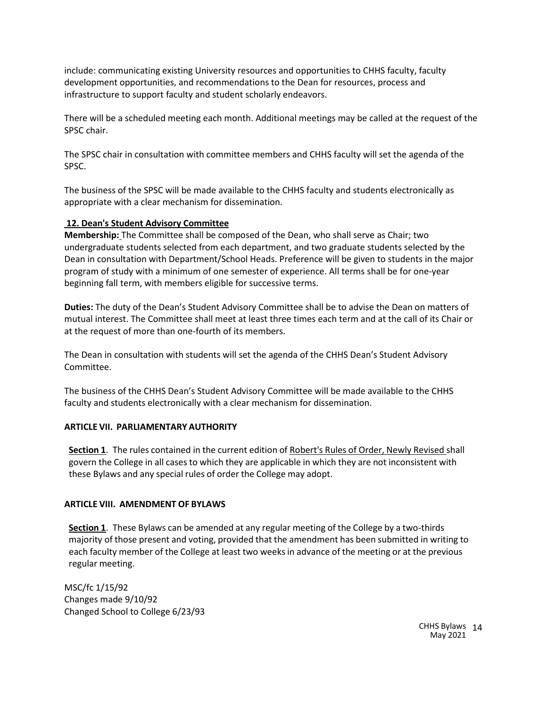include: communicating existing University resources and opportunities to CHHS faculty, faculty development opportunities, and recommendations to the Dean for resources, process and infrastructure to support faculty and student scholarly endeavors.

There will be a scheduled meeting each month. Additional meetings may be called at the request of the SPSC chair.

The SPSC chair in consultation with committee members and CHHS faculty will set the agenda of the SPSC.

The business of the SPSC will be made available to the CHHS faculty and students electronically as appropriate with a clear mechanism for dissemination.

## **12. Dean's Student Advisory Committee**

**Membership:** The Committee shall be composed of the Dean, who shall serve as Chair; two undergraduate students selected from each department, and two graduate students selected by the Dean in consultation with Department/School Heads. Preference will be given to students in the major program of study with a minimum of one semester of experience. All terms shall be for one-year beginning fall term, with members eligible for successive terms.

**Duties:** The duty of the Dean's Student Advisory Committee shall be to advise the Dean on matters of mutual interest. The Committee shall meet at least three times each term and at the call of its Chair or at the request of more than one-fourth of its members.

The Dean in consultation with students will set the agenda of the CHHS Dean's Student Advisory Committee.

The business of the CHHS Dean's Student Advisory Committee will be made available to the CHHS faculty and students electronically with a clear mechanism for dissemination.

## **ARTICLE VII. PARLIAMENTARY AUTHORITY**

**Section 1**. The rules contained in the current edition of Robert's Rules of Order, Newly Revised shall govern the College in all cases to which they are applicable in which they are not inconsistent with these Bylaws and any special rules of order the College may adopt.

## **ARTICLE VIII. AMENDMENT OF BYLAWS**

**Section 1**. These Bylaws can be amended at any regular meeting of the College by a two-thirds majority of those present and voting, provided that the amendment has been submitted in writing to each faculty member of the College at least two weeksin advance of the meeting or at the previous regular meeting.

MSC/fc 1/15/92 Changes made 9/10/92 Changed School to College 6/23/93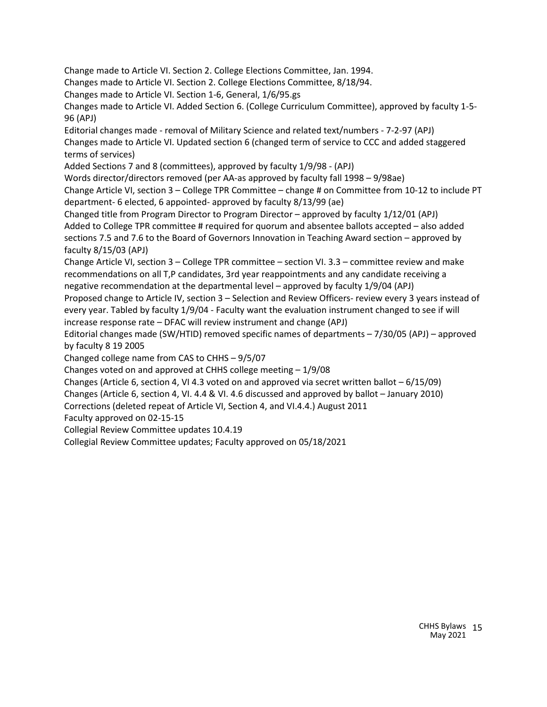Change made to Article VI. Section 2. College Elections Committee, Jan. 1994. Changes made to Article VI. Section 2. College Elections Committee, 8/18/94. Changes made to Article VI. Section 1-6, General, 1/6/95.gs Changes made to Article VI. Added Section 6. (College Curriculum Committee), approved by faculty 1-5- 96 (APJ) Editorial changes made - removal of Military Science and related text/numbers - 7-2-97 (APJ) Changes made to Article VI. Updated section 6 (changed term of service to CCC and added staggered terms of services) Added Sections 7 and 8 (committees), approved by faculty 1/9/98 - (APJ) Words director/directors removed (per AA-as approved by faculty fall 1998 – 9/98ae) Change Article VI, section 3 – College TPR Committee – change # on Committee from 10-12 to include PT department- 6 elected, 6 appointed- approved by faculty 8/13/99 (ae) Changed title from Program Director to Program Director – approved by faculty 1/12/01 (APJ) Added to College TPR committee # required for quorum and absentee ballots accepted – also added sections 7.5 and 7.6 to the Board of Governors Innovation in Teaching Award section – approved by faculty 8/15/03 (APJ) Change Article VI, section 3 – College TPR committee – section VI. 3.3 – committee review and make recommendations on all T,P candidates, 3rd year reappointments and any candidate receiving a negative recommendation at the departmental level – approved by faculty 1/9/04 (APJ) Proposed change to Article IV, section 3 – Selection and Review Officers- review every 3 years instead of every year. Tabled by faculty 1/9/04 - Faculty want the evaluation instrument changed to see if will increase response rate – DFAC will review instrument and change (APJ) Editorial changes made (SW/HTID) removed specific names of departments – 7/30/05 (APJ) – approved by faculty 8 19 2005 Changed college name from CAS to CHHS – 9/5/07 Changes voted on and approved at CHHS college meeting – 1/9/08 Changes (Article 6, section 4, VI 4.3 voted on and approved via secret written ballot – 6/15/09) Changes (Article 6, section 4, VI. 4.4 & VI. 4.6 discussed and approved by ballot – January 2010) Corrections (deleted repeat of Article VI, Section 4, and VI.4.4.) August 2011 Faculty approved on 02-15-15

Collegial Review Committee updates 10.4.19

Collegial Review Committee updates; Faculty approved on 05/18/2021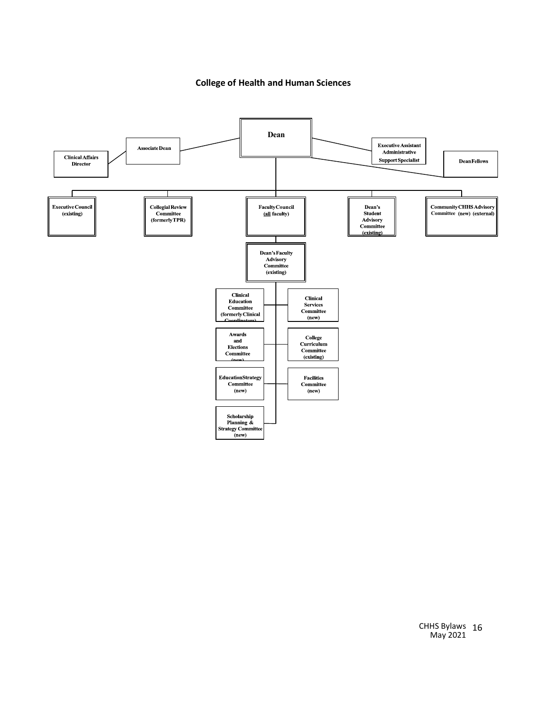**College of Health and Human Sciences**